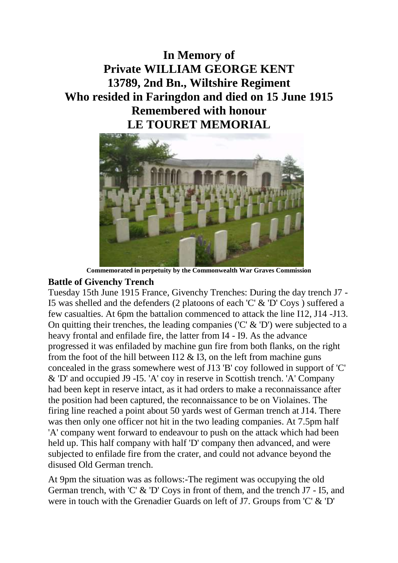## **In Memory of Private WILLIAM GEORGE KENT 13789, 2nd Bn., Wiltshire Regiment Who resided in Faringdon and died on 15 June 1915 Remembered with honour LE TOURET MEMORIAL**



**Commemorated in perpetuity by the Commonwealth War Graves Commission**

## **Battle of Givenchy Trench**

Tuesday 15th June 1915 France, Givenchy Trenches: During the day trench J7 - I5 was shelled and the defenders (2 platoons of each 'C' & 'D' Coys ) suffered a few casualties. At 6pm the battalion commenced to attack the line I12, J14 -J13. On quitting their trenches, the leading companies ( $C' \& D'$ ) were subjected to a heavy frontal and enfilade fire, the latter from I4 - I9. As the advance progressed it was enfiladed by machine gun fire from both flanks, on the right from the foot of the hill between I12  $\&$  I3, on the left from machine guns concealed in the grass somewhere west of J13 'B' coy followed in support of 'C' & 'D' and occupied J9 -I5. 'A' coy in reserve in Scottish trench. 'A' Company had been kept in reserve intact, as it had orders to make a reconnaissance after the position had been captured, the reconnaissance to be on Violaines. The firing line reached a point about 50 yards west of German trench at J14. There was then only one officer not hit in the two leading companies. At 7.5pm half 'A' company went forward to endeavour to push on the attack which had been held up. This half company with half 'D' company then advanced, and were subjected to enfilade fire from the crater, and could not advance beyond the disused Old German trench.

At 9pm the situation was as follows:-The regiment was occupying the old German trench, with 'C' & 'D' Coys in front of them, and the trench J7 - I5, and were in touch with the Grenadier Guards on left of J7. Groups from 'C' & 'D'